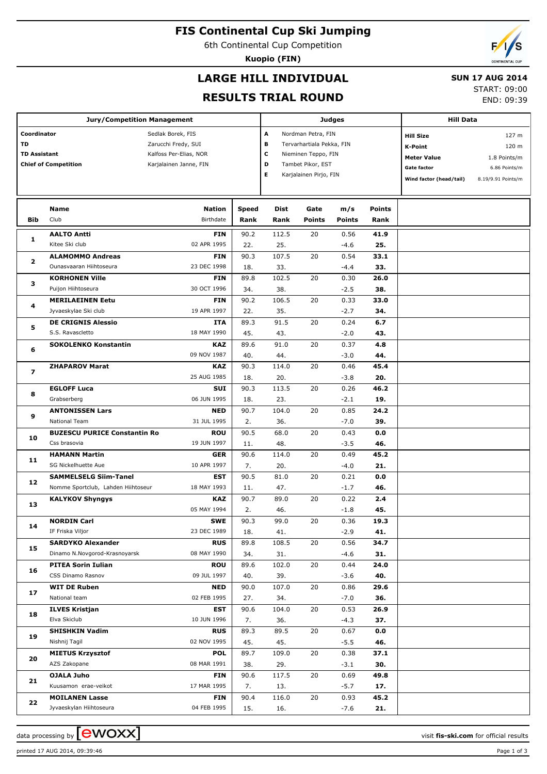# **FIS Continental Cup Ski Jumping**

6th Continental Cup Competition

**Kuopio (FIN)**

## **LARGE HILL INDIVIDUAL**

### **SUN 17 AUG 2014**

## **RESULTS TRIAL ROUND**

START: 09:00 END: 09:39

|                                                                         | <b>Jury/Competition Management</b>           |                                                                                              |             | <b>Judges</b> | <b>Hill Data</b>                                                                                                                               |                |             |                                                                                                    |                                                                       |
|-------------------------------------------------------------------------|----------------------------------------------|----------------------------------------------------------------------------------------------|-------------|---------------|------------------------------------------------------------------------------------------------------------------------------------------------|----------------|-------------|----------------------------------------------------------------------------------------------------|-----------------------------------------------------------------------|
| Coordinator<br>TD<br><b>TD Assistant</b><br><b>Chief of Competition</b> |                                              | Sedlak Borek, FIS<br>Zarucchi Fredy, SUI<br>Kalfoss Per-Elias, NOR<br>Karjalainen Janne, FIN |             |               | A<br>Nordman Petra, FIN<br>в<br>Tervarhartiala Pekka, FIN<br>С<br>Nieminen Teppo, FIN<br>D<br>Tambet Pikor, EST<br>Е<br>Karjalainen Pirjo, FIN |                |             | <b>Hill Size</b><br>K-Point<br><b>Meter Value</b><br><b>Gate factor</b><br>Wind factor (head/tail) | 127 m<br>120 m<br>1.8 Points/m<br>6.86 Points/m<br>8.19/9.91 Points/m |
|                                                                         | Name                                         | <b>Nation</b>                                                                                | Speed       | Dist          | Gate                                                                                                                                           | m/s            | Points      |                                                                                                    |                                                                       |
| Bib                                                                     | Club                                         | <b>Birthdate</b>                                                                             | Rank        | Rank          | <b>Points</b>                                                                                                                                  | <b>Points</b>  | Rank        |                                                                                                    |                                                                       |
| 1                                                                       | <b>AALTO Antti</b>                           | <b>FIN</b>                                                                                   | 90.2        | 112.5         | 20                                                                                                                                             | 0.56           | 41.9        |                                                                                                    |                                                                       |
|                                                                         | Kitee Ski club                               | 02 APR 1995                                                                                  | 22.         | 25.           |                                                                                                                                                | $-4.6$         | 25.         |                                                                                                    |                                                                       |
| $\overline{\mathbf{2}}$                                                 | <b>ALAMOMMO Andreas</b>                      | <b>FIN</b>                                                                                   | 90.3        | 107.5         | 20                                                                                                                                             | 0.54           | 33.1        |                                                                                                    |                                                                       |
|                                                                         | Ounasvaaran Hiihtoseura                      | 23 DEC 1998                                                                                  | 18.         | 33.           |                                                                                                                                                | $-4.4$         | 33.         |                                                                                                    |                                                                       |
| 3                                                                       | <b>KORHONEN Ville</b>                        | <b>FIN</b>                                                                                   | 89.8        | 102.5         | 20                                                                                                                                             | 0.30           | 26.0        |                                                                                                    |                                                                       |
|                                                                         | Puijon Hiihtoseura                           | 30 OCT 1996                                                                                  | 34.         | 38.           |                                                                                                                                                | $-2.5$         | 38.         |                                                                                                    |                                                                       |
| 4                                                                       | <b>MERILAEINEN Eetu</b>                      | <b>FIN</b>                                                                                   | 90.2        | 106.5         | 20                                                                                                                                             | 0.33           | 33.0        |                                                                                                    |                                                                       |
|                                                                         | Jyvaeskylae Ski club                         | 19 APR 1997                                                                                  | 22.         | 35.           |                                                                                                                                                | $-2.7$         | 34.         |                                                                                                    |                                                                       |
| 5                                                                       | <b>DE CRIGNIS Alessio</b>                    | <b>ITA</b>                                                                                   | 89.3        | 91.5          | 20                                                                                                                                             | 0.24           | 6.7         |                                                                                                    |                                                                       |
|                                                                         | S.S. Ravascletto                             | 18 MAY 1990                                                                                  | 45.         | 43.           |                                                                                                                                                | $-2.0$         | 43.         |                                                                                                    |                                                                       |
| 6                                                                       | <b>SOKOLENKO Konstantin</b>                  | KAZ                                                                                          | 89.6        | 91.0          | 20                                                                                                                                             | 0.37           | 4.8         |                                                                                                    |                                                                       |
|                                                                         |                                              | 09 NOV 1987                                                                                  | 40.         | 44.           |                                                                                                                                                | $-3.0$         | 44.         |                                                                                                    |                                                                       |
| $\overline{\phantom{a}}$                                                | <b>ZHAPAROV Marat</b>                        | KAZ                                                                                          | 90.3        | 114.0         | 20                                                                                                                                             | 0.46           | 45.4        |                                                                                                    |                                                                       |
|                                                                         |                                              | 25 AUG 1985                                                                                  | 18.         | 20.           |                                                                                                                                                | $-3.8$         | 20.         |                                                                                                    |                                                                       |
| 8                                                                       | <b>EGLOFF Luca</b>                           | <b>SUI</b>                                                                                   | 90.3        | 113.5         | 20                                                                                                                                             | 0.26           | 46.2        |                                                                                                    |                                                                       |
|                                                                         | Grabserberg                                  | 06 JUN 1995                                                                                  | 18.         | 23.           |                                                                                                                                                | $-2.1$         | 19.         |                                                                                                    |                                                                       |
| 9                                                                       | <b>ANTONISSEN Lars</b>                       | <b>NED</b>                                                                                   | 90.7        | 104.0         | 20                                                                                                                                             | 0.85           | 24.2        |                                                                                                    |                                                                       |
|                                                                         | National Team                                | 31 JUL 1995                                                                                  | 2.          | 36.           |                                                                                                                                                | $-7.0$         | 39.         |                                                                                                    |                                                                       |
| 10                                                                      | <b>BUZESCU PURICE Constantin Ro</b>          | <b>ROU</b>                                                                                   | 90.5        | 68.0          | 20                                                                                                                                             | 0.43           | 0.0         |                                                                                                    |                                                                       |
|                                                                         | Css brasovia                                 | 19 JUN 1997                                                                                  | 11.         | 48.           |                                                                                                                                                | $-3.5$         | 46.         |                                                                                                    |                                                                       |
| 11                                                                      | <b>HAMANN Martin</b>                         | <b>GER</b>                                                                                   | 90.6        | 114.0         | 20                                                                                                                                             | 0.49           | 45.2        |                                                                                                    |                                                                       |
|                                                                         | SG Nickelhuette Aue                          | 10 APR 1997                                                                                  | 7.          | 20.           |                                                                                                                                                | $-4.0$         | 21.         |                                                                                                    |                                                                       |
| 12                                                                      | <b>SAMMELSELG Siim-Tanel</b>                 | <b>EST</b>                                                                                   | 90.5        | 81.0          | 20                                                                                                                                             | 0.21           | 0.0         |                                                                                                    |                                                                       |
|                                                                         | Nomme Sportclub, Lahden Hiihtoseur           | 18 MAY 1993                                                                                  | 11.         | 47.           |                                                                                                                                                | $-1.7$         | 46.         |                                                                                                    |                                                                       |
| 13                                                                      | <b>KALYKOV Shyngys</b>                       | KAZ                                                                                          | 90.7        | 89.0          | 20                                                                                                                                             | 0.22           | 2.4         |                                                                                                    |                                                                       |
|                                                                         |                                              | 05 MAY 1994                                                                                  | 2.          | 46.           |                                                                                                                                                | $-1.8$         | 45.         |                                                                                                    |                                                                       |
| 14                                                                      | <b>NORDIN Carl</b>                           | <b>SWE</b>                                                                                   | 90.3        | 99.0          | 20                                                                                                                                             | 0.36           | 19.3        |                                                                                                    |                                                                       |
|                                                                         | IF Friska Viljor<br><b>SARDYKO Alexander</b> | 23 DEC 1989                                                                                  | 18.         | 41.<br>108.5  |                                                                                                                                                | $-2.9$         | 41.         |                                                                                                    |                                                                       |
| 15                                                                      | Dinamo N.Novgorod-Krasnoyarsk                | <b>RUS</b><br>08 MAY 1990                                                                    | 89.8<br>34. | 31.           | 20                                                                                                                                             | 0.56<br>$-4.6$ | 34.7<br>31. |                                                                                                    |                                                                       |
|                                                                         | <b>PITEA Sorin Iulian</b>                    | ROU                                                                                          | 89.6        | 102.0         | 20                                                                                                                                             | 0.44           | 24.0        |                                                                                                    |                                                                       |
| 16                                                                      | CSS Dinamo Rasnov                            | 09 JUL 1997                                                                                  | 40.         | 39.           |                                                                                                                                                | $-3.6$         | 40.         |                                                                                                    |                                                                       |
|                                                                         | <b>WIT DE Ruben</b>                          | <b>NED</b>                                                                                   | 90.0        | 107.0         | 20                                                                                                                                             | 0.86           | 29.6        |                                                                                                    |                                                                       |
| 17                                                                      | National team                                | 02 FEB 1995                                                                                  | 27.         | 34.           |                                                                                                                                                | $-7.0$         | 36.         |                                                                                                    |                                                                       |
|                                                                         | <b>ILVES Kristjan</b>                        | EST                                                                                          | 90.6        | 104.0         | 20                                                                                                                                             | 0.53           | 26.9        |                                                                                                    |                                                                       |
| 18                                                                      | Elva Skiclub                                 | 10 JUN 1996                                                                                  | 7.          | 36.           |                                                                                                                                                | $-4.3$         | 37.         |                                                                                                    |                                                                       |
| 19                                                                      | <b>SHISHKIN Vadim</b>                        | <b>RUS</b>                                                                                   | 89.3        | 89.5          | 20                                                                                                                                             | 0.67           | 0.0         |                                                                                                    |                                                                       |
|                                                                         | Nishnij Tagil                                | 02 NOV 1995                                                                                  | 45.         | 45.           |                                                                                                                                                | $-5.5$         | 46.         |                                                                                                    |                                                                       |
| 20                                                                      | <b>MIETUS Krzysztof</b>                      | <b>POL</b>                                                                                   | 89.7        | 109.0         | 20                                                                                                                                             | 0.38           | 37.1        |                                                                                                    |                                                                       |
|                                                                         | AZS Zakopane                                 | 08 MAR 1991                                                                                  | 38.         | 29.           |                                                                                                                                                | $-3.1$         | 30.         |                                                                                                    |                                                                       |
|                                                                         | OJALA Juho                                   | <b>FIN</b>                                                                                   | 90.6        | 117.5         | 20                                                                                                                                             | 0.69           | 49.8        |                                                                                                    |                                                                       |
| 21                                                                      | Kuusamon erae-veikot                         | 17 MAR 1995                                                                                  | 7.          | 13.           |                                                                                                                                                | $-5.7$         | 17.         |                                                                                                    |                                                                       |
|                                                                         | <b>MOILANEN Lasse</b>                        | <b>FIN</b>                                                                                   | 90.4        | 116.0         | 20                                                                                                                                             | 0.93           | 45.2        |                                                                                                    |                                                                       |
| 22                                                                      | Jyvaeskylan Hiihtoseura                      | 04 FEB 1995                                                                                  | 15.         | 16.           |                                                                                                                                                | $-7.6$         | 21.         |                                                                                                    |                                                                       |
|                                                                         |                                              |                                                                                              |             |               |                                                                                                                                                |                |             |                                                                                                    |                                                                       |

data processing by **CWOXX**  $\blacksquare$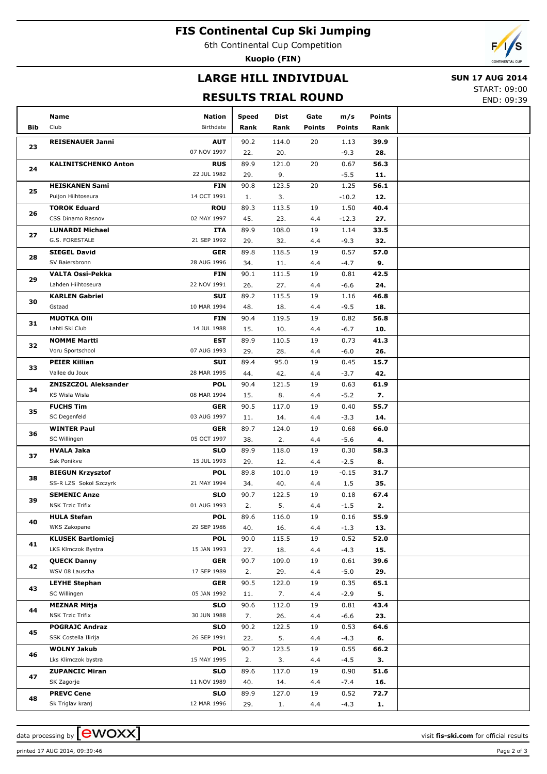# **FIS Continental Cup Ski Jumping**

6th Continental Cup Competition

**Kuopio (FIN)**



# **LARGE HILL INDIVIDUAL**

### **SUN 17 AUG 2014**

## **RESULTS TRIAL ROUND**

START: 09:00 END: 09:39

| <b>Bib</b> | Name<br>Club                                   | Nation<br>Birthdate       | Speed<br>Rank | Dist<br>Rank | Gate<br><b>Points</b> | m/s<br><b>Points</b> | <b>Points</b><br>Rank |  |
|------------|------------------------------------------------|---------------------------|---------------|--------------|-----------------------|----------------------|-----------------------|--|
|            |                                                |                           |               |              |                       |                      |                       |  |
| 23         | <b>REISENAUER Janni</b>                        | <b>AUT</b>                | 90.2          | 114.0        | 20                    | 1.13                 | 39.9                  |  |
|            |                                                | 07 NOV 1997               | 22.           | 20.          |                       | $-9.3$               | 28.                   |  |
| 24         | <b>KALINITSCHENKO Anton</b>                    | <b>RUS</b><br>22 JUL 1982 | 89.9<br>29.   | 121.0<br>9.  | 20                    | 0.67<br>$-5.5$       | 56.3<br>11.           |  |
|            | <b>HEISKANEN Sami</b>                          | <b>FIN</b>                | 90.8          | 123.5        | 20                    | 1.25                 | 56.1                  |  |
| 25         | Puijon Hiihtoseura                             | 14 OCT 1991               | 1.            | 3.           |                       | $-10.2$              | 12.                   |  |
|            | <b>TOROK Eduard</b>                            | <b>ROU</b>                | 89.3          | 113.5        | 19                    | 1.50                 | 40.4                  |  |
| 26         | CSS Dinamo Rasnov                              | 02 MAY 1997               | 45.           | 23.          | 4.4                   | $-12.3$              | 27.                   |  |
|            | <b>LUNARDI Michael</b>                         | <b>ITA</b>                | 89.9          | 108.0        | 19                    | 1.14                 | 33.5                  |  |
| 27         | G.S. FORESTALE                                 | 21 SEP 1992               | 29.           | 32.          | 4.4                   | $-9.3$               | 32.                   |  |
| 28         | <b>SIEGEL David</b>                            | <b>GER</b>                | 89.8          | 118.5        | 19                    | 0.57                 | 57.0                  |  |
|            | SV Baiersbronn                                 | 28 AUG 1996               | 34.           | 11.          | 4.4                   | $-4.7$               | 9.                    |  |
| 29         | <b>VALTA Ossi-Pekka</b>                        | <b>FIN</b>                | 90.1          | 111.5        | 19                    | 0.81                 | 42.5                  |  |
|            | Lahden Hiihtoseura                             | 22 NOV 1991               | 26.           | 27.          | 4.4                   | $-6.6$               | 24.                   |  |
| 30         | <b>KARLEN Gabriel</b>                          | SUI                       | 89.2          | 115.5        | 19                    | 1.16                 | 46.8                  |  |
|            | Gstaad                                         | 10 MAR 1994               | 48.           | 18.          | 4.4                   | $-9.5$               | 18.                   |  |
| 31         | <b>MUOTKA OIII</b>                             | <b>FIN</b>                | 90.4          | 119.5        | 19                    | 0.82                 | 56.8                  |  |
|            | Lahti Ski Club                                 | 14 JUL 1988               | 15.           | 10.          | 4.4                   | $-6.7$               | 10.                   |  |
| 32         | <b>NOMME Martti</b>                            | <b>EST</b>                | 89.9          | 110.5        | 19                    | 0.73                 | 41.3                  |  |
|            | Voru Sportschool                               | 07 AUG 1993               | 29.           | 28.          | 4.4                   | $-6.0$               | 26.                   |  |
| 33         | <b>PEIER Killian</b>                           | SUI                       | 89.4          | 95.0         | 19                    | 0.45                 | 15.7                  |  |
|            | Vallee du Joux                                 | 28 MAR 1995               | 44.           | 42.          | 4.4                   | $-3.7$               | 42.                   |  |
| 34         | <b>ZNISZCZOL Aleksander</b><br>KS Wisla Wisla  | <b>POL</b><br>08 MAR 1994 | 90.4          | 121.5<br>8.  | 19                    | 0.63                 | 61.9<br>7.            |  |
|            | <b>FUCHS Tim</b>                               | <b>GER</b>                | 15.<br>90.5   | 117.0        | 4.4<br>19             | $-5.2$<br>0.40       | 55.7                  |  |
| 35         | SC Degenfeld                                   | 03 AUG 1997               | 11.           | 14.          | 4.4                   | $-3.3$               | 14.                   |  |
|            | <b>WINTER Paul</b>                             | <b>GER</b>                | 89.7          | 124.0        | 19                    | 0.68                 | 66.0                  |  |
| 36         | SC Willingen                                   | 05 OCT 1997               | 38.           | 2.           | 4.4                   | $-5.6$               | 4.                    |  |
|            | <b>HVALA Jaka</b>                              | <b>SLO</b>                | 89.9          | 118.0        | 19                    | 0.30                 | 58.3                  |  |
| 37         | Ssk Ponikve                                    | 15 JUL 1993               | 29.           | 12.          | 4.4                   | $-2.5$               | 8.                    |  |
|            | <b>BIEGUN Krzysztof</b>                        | <b>POL</b>                | 89.8          | 101.0        | 19                    | $-0.15$              | 31.7                  |  |
| 38         | SS-R LZS Sokol Szczyrk                         | 21 MAY 1994               | 34.           | 40.          | 4.4                   | 1.5                  | 35.                   |  |
|            | <b>SEMENIC Anze</b>                            | <b>SLO</b>                | 90.7          | 122.5        | 19                    | 0.18                 | 67.4                  |  |
| 39         | <b>NSK Trzic Trifix</b>                        | 01 AUG 1993               | 2.            | 5.           | 4.4                   | $-1.5$               | 2.                    |  |
| 40         | <b>HULA Stefan</b>                             | POL                       | 89.6          | 116.0        | 19                    | 0.16                 | 55.9                  |  |
|            | WKS Zakopane                                   | 29 SEP 1986               | 40.           | 16.          | 4.4                   | $-1.3$               | 13.                   |  |
| 41         | <b>KLUSEK Bartlomiej</b>                       | <b>POL</b>                | 90.0          | 115.5        | 19                    | 0.52                 | 52.0                  |  |
|            | LKS Klmczok Bystra                             | 15 JAN 1993               | 27.           | 18.          | 4.4                   | $-4.3$               | 15.                   |  |
| 42         | <b>QUECK Danny</b>                             | <b>GER</b>                | 90.7          | 109.0        | 19                    | 0.61                 | 39.6                  |  |
|            | WSV 08 Lauscha                                 | 17 SEP 1989               | 2.            | 29.          | 4.4                   | $-5.0$               | 29.                   |  |
| 43         | <b>LEYHE Stephan</b>                           | <b>GER</b>                | 90.5          | 122.0        | 19                    | 0.35                 | 65.1                  |  |
|            | SC Willingen                                   | 05 JAN 1992               | 11.           | 7.           | 4.4                   | $-2.9$               | 5.                    |  |
| 44         | <b>MEZNAR Mitja</b><br><b>NSK Trzic Trifix</b> | <b>SLO</b><br>30 JUN 1988 | 90.6          | 112.0        | 19                    | 0.81                 | 43.4                  |  |
|            |                                                |                           | 7.            | 26.          | 4.4                   | $-6.6$               | 23.                   |  |
| 45         | <b>POGRAJC Andraz</b><br>SSK Costella Ilirija  | <b>SLO</b><br>26 SEP 1991 | 90.2<br>22.   | 122.5<br>5.  | 19<br>4.4             | 0.53<br>$-4.3$       | 64.6                  |  |
|            | <b>WOLNY Jakub</b>                             | <b>POL</b>                | 90.7          | 123.5        | 19                    | 0.55                 | 6.<br>66.2            |  |
| 46         | Lks Klimczok bystra                            | 15 MAY 1995               | 2.            | 3.           | 4.4                   | $-4.5$               | З.                    |  |
|            | <b>ZUPANCIC Miran</b>                          | <b>SLO</b>                | 89.6          | 117.0        | 19                    | 0.90                 | 51.6                  |  |
| 47         | SK Zagorje                                     | 11 NOV 1989               | 40.           | 14.          | 4.4                   | $-7.4$               | 16.                   |  |
|            | <b>PREVC Cene</b>                              | <b>SLO</b>                | 89.9          | 127.0        | 19                    | 0.52                 | 72.7                  |  |
| 48         | Sk Triglav kranj                               | 12 MAR 1996               | 29.           | 1.           | 4.4                   | $-4.3$               | 1.                    |  |
|            |                                                |                           |               |              |                       |                      |                       |  |

printed 17 AUG 2014, 09:39:46 Page 2 of 3

data processing by **CWOXX**  $\blacksquare$